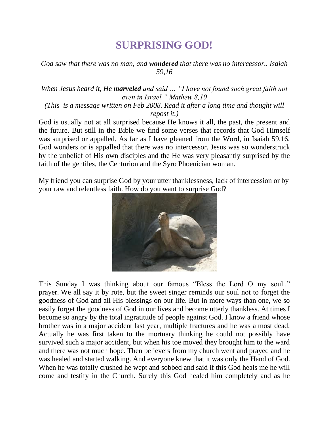## **SURPRISING GOD!**

## *God saw that there was no man, and wondered that there was no intercessor.. Isaiah 59,16*

## *When Jesus heard it, He marveled and said … "I have not found such great faith not even in Israel." Mathew 8,10*

*(This is a message written on Feb 2008. Read it after a long time and thought will repost it.)*

God is usually not at all surprised because He knows it all, the past, the present and the future. But still in the Bible we find some verses that records that God Himself was surprised or appalled. As far as I have gleaned from the Word, in Isaiah 59,16, God wonders or is appalled that there was no intercessor. Jesus was so wonderstruck by the unbelief of His own disciples and the He was very pleasantly surprised by the faith of the gentiles, the Centurion and the Syro Phoenician woman.

My friend you can surprise God by your utter thanklessness, lack of intercession or by your raw and relentless faith. How do you want to surprise God?



This Sunday I was thinking about our famous "Bless the Lord O my soul.." prayer. We all say it by rote, but the sweet singer reminds our soul not to forget the goodness of God and all His blessings on our life. But in more ways than one, we so easily forget the goodness of God in our lives and become utterly thankless. At times I become so angry by the total ingratitude of people against God. I know a friend whose brother was in a major accident last year, multiple fractures and he was almost dead. Actually he was first taken to the mortuary thinking he could not possibly have survived such a major accident, but when his toe moved they brought him to the ward and there was not much hope. Then believers from my church went and prayed and he was healed and started walking. And everyone knew that it was only the Hand of God. When he was totally crushed he wept and sobbed and said if this God heals me he will come and testify in the Church. Surely this God healed him completely and as he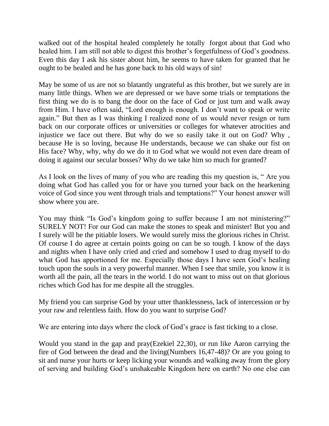walked out of the hospital healed completely he totally forgot about that God who healed him. I am still not able to digest this brother's forgetfulness of God's goodness. Even this day I ask his sister about him, he seems to have taken for granted that he ought to be healed and he has gone back to his old ways of sin!

May be some of us are not so blatantly ungrateful as this brother, but we surely are in many little things. When we are depressed or we have some trials or temptations the first thing we do is to bang the door on the face of God or just turn and walk away from Him. I have often said, "Lord enough is enough. I don't want to speak or write again." But then as I was thinking I realized none of us would never resign or turn back on our corporate offices or universities or colleges for whatever atrocities and injustice we face out there. But why do we so easily take it out on God? Why , because He is so loving, because He understands, because we can shake our fist on His face? Why, why, why do we do it to God what we would not even dare dream of doing it against our secular bosses? Why do we take him so much for granted?

As I look on the lives of many of you who are reading this my question is, " Are you doing what God has called you for or have you turned your back on the hearkening voice of God since you went through trials and temptations?" Your honest answer will show where you are.

You may think "Is God's kingdom going to suffer because I am not ministering?" SURELY NOT! For our God can make the stones to speak and minister! But you and I surely will be the pitiable losers. We would surely miss the glorious riches in Christ. Of course I do agree at certain points going on can be so tough. I know of the days and nights when I have only cried and cried and somehow I used to drag myself to do what God has apportioned for me. Especially those days I have seen God's healing touch upon the souls in a very powerful manner. When I see that smile, you know it is worth all the pain, all the tears in the world. I do not want to miss out on that glorious riches which God has for me despite all the struggles.

My friend you can surprise God by your utter thanklessness, lack of intercession or by your raw and relentless faith. How do you want to surprise God?

We are entering into days where the clock of God's grace is fast ticking to a close.

Would you stand in the gap and pray(Ezekiel 22,30), or run like Aaron carrying the fire of God between the dead and the living(Numbers 16,47-48)? Or are you going to sit and nurse your hurts or keep licking your wounds and walking away from the glory of serving and building God's unshakeable Kingdom here on earth? No one else can